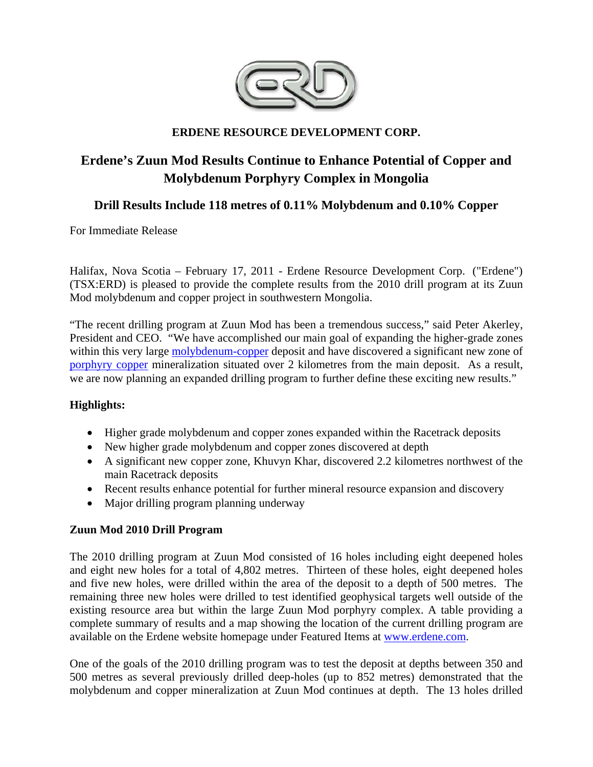

### **ERDENE RESOURCE DEVELOPMENT CORP.**

# **Erdene's Zuun Mod Results Continue to Enhance Potential of Copper and Molybdenum Porphyry Complex in Mongolia**

## **Drill Results Include 118 metres of 0.11% Molybdenum and 0.10% Copper**

For Immediate Release

Halifax, Nova Scotia – February 17, 2011 - Erdene Resource Development Corp. ("Erdene") (TSX:ERD) is pleased to provide the complete results from the 2010 drill program at its Zuun Mod molybdenum and copper project in southwestern Mongolia.

"The recent drilling program at Zuun Mod has been a tremendous success," said Peter Akerley, President and CEO. "We have accomplished our main goal of expanding the higher-grade zones within this very large molybdenum-copper deposit and have discovered a significant new zone of porphyry copper mineralization situated over 2 kilometres from the main deposit. As a result, we are now planning an expanded drilling program to further define these exciting new results."

### **Highlights:**

- Higher grade molybdenum and copper zones expanded within the Racetrack deposits
- New higher grade molybdenum and copper zones discovered at depth
- A significant new copper zone, Khuvyn Khar, discovered 2.2 kilometres northwest of the main Racetrack deposits
- Recent results enhance potential for further mineral resource expansion and discovery
- Major drilling program planning underway

# **Zuun Mod 2010 Drill Program**

The 2010 drilling program at Zuun Mod consisted of 16 holes including eight deepened holes and eight new holes for a total of 4,802 metres. Thirteen of these holes, eight deepened holes and five new holes, were drilled within the area of the deposit to a depth of 500 metres. The remaining three new holes were drilled to test identified geophysical targets well outside of the existing resource area but within the large Zuun Mod porphyry complex. A table providing a complete summary of results and a map showing the location of the current drilling program are available on the Erdene website homepage under Featured Items at www.erdene.com.

One of the goals of the 2010 drilling program was to test the deposit at depths between 350 and 500 metres as several previously drilled deep-holes (up to 852 metres) demonstrated that the molybdenum and copper mineralization at Zuun Mod continues at depth. The 13 holes drilled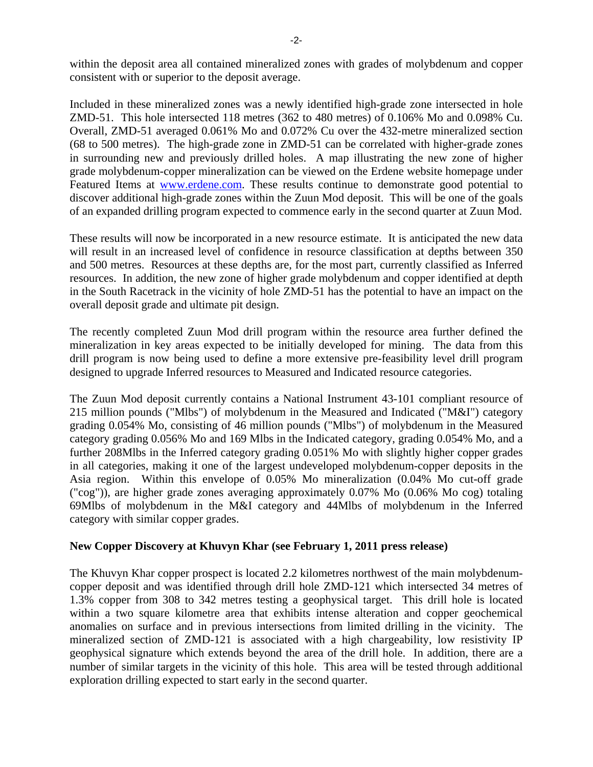within the deposit area all contained mineralized zones with grades of molybdenum and copper consistent with or superior to the deposit average.

Included in these mineralized zones was a newly identified high-grade zone intersected in hole ZMD-51. This hole intersected 118 metres (362 to 480 metres) of 0.106% Mo and 0.098% Cu. Overall, ZMD-51 averaged 0.061% Mo and 0.072% Cu over the 432-metre mineralized section (68 to 500 metres). The high-grade zone in ZMD-51 can be correlated with higher-grade zones in surrounding new and previously drilled holes. A map illustrating the new zone of higher grade molybdenum-copper mineralization can be viewed on the Erdene website homepage under Featured Items at www.erdene.com. These results continue to demonstrate good potential to discover additional high-grade zones within the Zuun Mod deposit. This will be one of the goals of an expanded drilling program expected to commence early in the second quarter at Zuun Mod.

These results will now be incorporated in a new resource estimate. It is anticipated the new data will result in an increased level of confidence in resource classification at depths between 350 and 500 metres. Resources at these depths are, for the most part, currently classified as Inferred resources. In addition, the new zone of higher grade molybdenum and copper identified at depth in the South Racetrack in the vicinity of hole ZMD-51 has the potential to have an impact on the overall deposit grade and ultimate pit design.

The recently completed Zuun Mod drill program within the resource area further defined the mineralization in key areas expected to be initially developed for mining. The data from this drill program is now being used to define a more extensive pre-feasibility level drill program designed to upgrade Inferred resources to Measured and Indicated resource categories.

The Zuun Mod deposit currently contains a National Instrument 43-101 compliant resource of 215 million pounds ("Mlbs") of molybdenum in the Measured and Indicated ("M&I") category grading 0.054% Mo, consisting of 46 million pounds ("Mlbs") of molybdenum in the Measured category grading 0.056% Mo and 169 Mlbs in the Indicated category, grading 0.054% Mo, and a further 208Mlbs in the Inferred category grading 0.051% Mo with slightly higher copper grades in all categories, making it one of the largest undeveloped molybdenum-copper deposits in the Asia region. Within this envelope of 0.05% Mo mineralization (0.04% Mo cut-off grade ("cog")), are higher grade zones averaging approximately 0.07% Mo (0.06% Mo cog) totaling 69Mlbs of molybdenum in the M&I category and 44Mlbs of molybdenum in the Inferred category with similar copper grades.

### **New Copper Discovery at Khuvyn Khar (see February 1, 2011 press release)**

The Khuvyn Khar copper prospect is located 2.2 kilometres northwest of the main molybdenumcopper deposit and was identified through drill hole ZMD-121 which intersected 34 metres of 1.3% copper from 308 to 342 metres testing a geophysical target. This drill hole is located within a two square kilometre area that exhibits intense alteration and copper geochemical anomalies on surface and in previous intersections from limited drilling in the vicinity. The mineralized section of ZMD-121 is associated with a high chargeability, low resistivity IP geophysical signature which extends beyond the area of the drill hole. In addition, there are a number of similar targets in the vicinity of this hole. This area will be tested through additional exploration drilling expected to start early in the second quarter.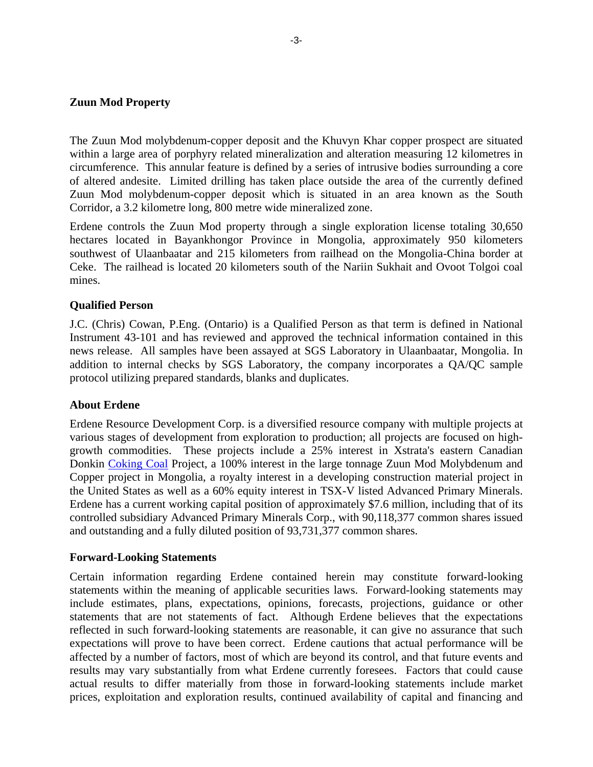#### **Zuun Mod Property**

The Zuun Mod molybdenum-copper deposit and the Khuvyn Khar copper prospect are situated within a large area of porphyry related mineralization and alteration measuring 12 kilometres in circumference. This annular feature is defined by a series of intrusive bodies surrounding a core of altered andesite. Limited drilling has taken place outside the area of the currently defined Zuun Mod molybdenum-copper deposit which is situated in an area known as the South Corridor, a 3.2 kilometre long, 800 metre wide mineralized zone.

Erdene controls the Zuun Mod property through a single exploration license totaling 30,650 hectares located in Bayankhongor Province in Mongolia, approximately 950 kilometers southwest of Ulaanbaatar and 215 kilometers from railhead on the Mongolia-China border at Ceke. The railhead is located 20 kilometers south of the Nariin Sukhait and Ovoot Tolgoi coal mines.

### **Qualified Person**

J.C. (Chris) Cowan, P.Eng. (Ontario) is a Qualified Person as that term is defined in National Instrument 43-101 and has reviewed and approved the technical information contained in this news release. All samples have been assayed at SGS Laboratory in Ulaanbaatar, Mongolia. In addition to internal checks by SGS Laboratory, the company incorporates a QA/QC sample protocol utilizing prepared standards, blanks and duplicates.

#### **About Erdene**

Erdene Resource Development Corp. is a diversified resource company with multiple projects at various stages of development from exploration to production; all projects are focused on highgrowth commodities. These projects include a 25% interest in Xstrata's eastern Canadian Donkin Coking Coal Project, a 100% interest in the large tonnage Zuun Mod Molybdenum and Copper project in Mongolia, a royalty interest in a developing construction material project in the United States as well as a 60% equity interest in TSX-V listed Advanced Primary Minerals. Erdene has a current working capital position of approximately \$7.6 million, including that of its controlled subsidiary Advanced Primary Minerals Corp., with 90,118,377 common shares issued and outstanding and a fully diluted position of 93,731,377 common shares.

#### **Forward-Looking Statements**

Certain information regarding Erdene contained herein may constitute forward-looking statements within the meaning of applicable securities laws. Forward-looking statements may include estimates, plans, expectations, opinions, forecasts, projections, guidance or other statements that are not statements of fact. Although Erdene believes that the expectations reflected in such forward-looking statements are reasonable, it can give no assurance that such expectations will prove to have been correct. Erdene cautions that actual performance will be affected by a number of factors, most of which are beyond its control, and that future events and results may vary substantially from what Erdene currently foresees. Factors that could cause actual results to differ materially from those in forward-looking statements include market prices, exploitation and exploration results, continued availability of capital and financing and